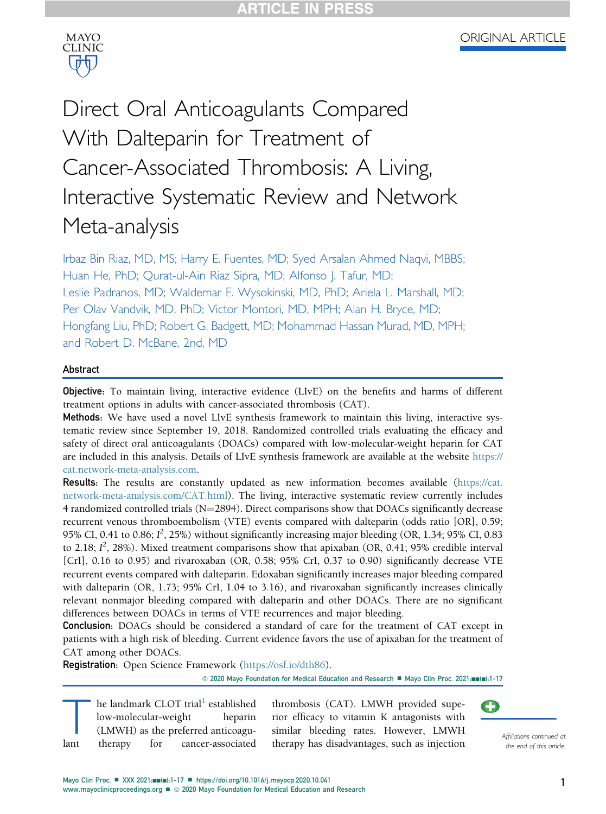

# Direct Oral Anticoagulants Compared With Dalteparin for Treatment of Cancer-Associated Thrombosis: A Living, Interactive Systematic Review and Network Meta-analysis

Irbaz Bin Riaz, MD, MS; Harry E. Fuentes, MD; Syed Arsalan Ahmed Naqvi, MBBS; Huan He, PhD; Qurat-ul-Ain Riaz Sipra, MD; Alfonso J. Tafur, MD; Leslie Padranos, MD; Waldemar E. Wysokinski, MD, PhD; Ariela L. Marshall, MD; Per Olav Vandvik, MD, PhD; Victor Montori, MD, MPH; Alan H. Bryce, MD; Hongfang Liu, PhD; Robert G. Badgett, MD; Mohammad Hassan Murad, MD, MPH; and Robert D. McBane, 2nd, MD

# Abstract

Objective: To maintain living, interactive evidence (LIvE) on the benefits and harms of different treatment options in adults with cancer-associated thrombosis (CAT).

Methods: We have used a novel LIvE synthesis framework to maintain this living, interactive systematic review since September 19, 2018. Randomized controlled trials evaluating the efficacy and safety of direct oral anticoagulants (DOACs) compared with low-molecular-weight heparin for CAT are included in this analysis. Details of LIvE synthesis framework are available at the website [https://](https://cat.network-meta-analysis.com) [cat.network-meta-analysis.com.](https://cat.network-meta-analysis.com)

Results: The results are constantly updated as new information becomes available [\(https://cat.](https://cat.network-meta-analysis.com/CAT.html) [network-meta-analysis.com/CAT.html](https://cat.network-meta-analysis.com/CAT.html)). The living, interactive systematic review currently includes 4 randomized controlled trials  $(N=2894)$ . Direct comparisons show that DOACs significantly decrease recurrent venous thromboembolism (VTE) events compared with dalteparin (odds ratio [OR], 0.59; 95% CI, 0.41 to 0.86;  $I^2$ , 25%) without significantly increasing major bleeding (OR, 1.34; 95% CI, 0.83 to 2.18;  $I^2$ , 28%). Mixed treatment comparisons show that apixaban (OR, 0.41; 95% credible interval [CrI], 0.16 to 0.95) and rivaroxaban (OR, 0.58; 95% CrI, 0.37 to 0.90) significantly decrease VTE recurrent events compared with dalteparin. Edoxaban significantly increases major bleeding compared with dalteparin (OR, 1.73; 95% CrI, 1.04 to 3.16), and rivaroxaban significantly increases clinically relevant nonmajor bleeding compared with dalteparin and other DOACs. There are no significant differences between DOACs in terms of VTE recurrences and major bleeding.

**Conclusion:** DOACs should be considered a standard of care for the treatment of CAT except in patients with a high risk of bleeding. Current evidence favors the use of apixaban for the treatment of CAT among other DOACs.

Registration: Open Science Framework (<https://osf.io/dth86>).

© 2020 Mayo Foundation for Medical Education and Research ■ Mayo Clin Proc. 2021;mm(m):1-17

The landmark CLOT trial<sup>[1](#page-14-0)</sup> established<br>low-molecular-weight heparin<br>(LMWH) as the preferred anticoagu-<br>lant therapy for cancer-associated low-molecular-weight (LMWH) as the preferred anticoagucancer-associated

thrombosis (CAT). LMWH provided superior efficacy to vitamin K antagonists with similar bleeding rates. However, LMWH therapy has disadvantages, such as injection and the end of this article.



the end of this article.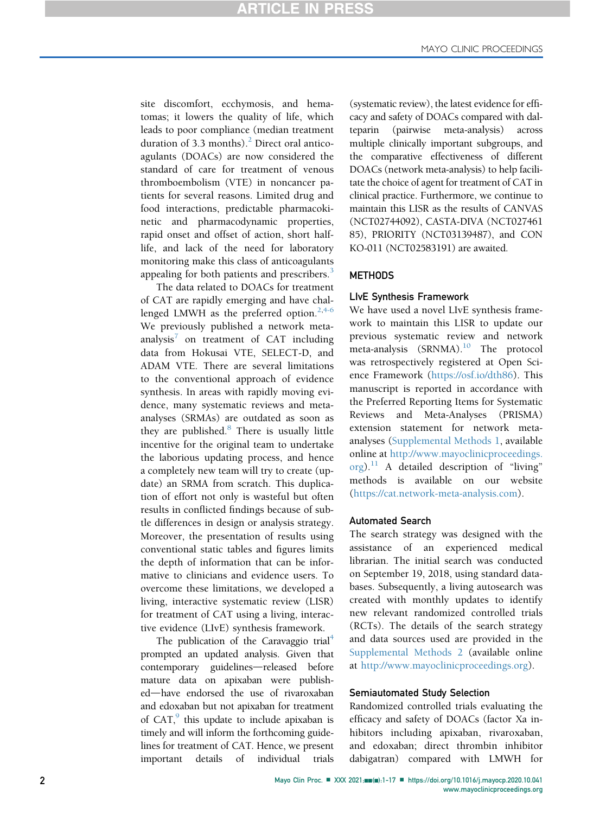site discomfort, ecchymosis, and hematomas; it lowers the quality of life, which leads to poor compliance (median treatment duration of 3.3 months). $^{2}$  $^{2}$  $^{2}$  Direct oral anticoagulants (DOACs) are now considered the standard of care for treatment of venous thromboembolism (VTE) in noncancer patients for several reasons. Limited drug and food interactions, predictable pharmacokinetic and pharmacodynamic properties, rapid onset and offset of action, short halflife, and lack of the need for laboratory monitoring make this class of anticoagulants appealing for both patients and prescribers.<sup>[3](#page-14-2)</sup>

The data related to DOACs for treatment of CAT are rapidly emerging and have challenged LMWH as the preferred option. $2,4-6$  $2,4-6$ We previously published a network metaanalysis<sup> $\delta$ </sup> on treatment of CAT including data from Hokusai VTE, SELECT-D, and ADAM VTE. There are several limitations to the conventional approach of evidence synthesis. In areas with rapidly moving evidence, many systematic reviews and metaanalyses (SRMAs) are outdated as soon as they are published. $8$  There is usually little incentive for the original team to undertake the laborious updating process, and hence a completely new team will try to create (update) an SRMA from scratch. This duplication of effort not only is wasteful but often results in conflicted findings because of subtle differences in design or analysis strategy. Moreover, the presentation of results using conventional static tables and figures limits the depth of information that can be informative to clinicians and evidence users. To overcome these limitations, we developed a living, interactive systematic review (LISR) for treatment of CAT using a living, interactive evidence (LIvE) synthesis framework.

The publication of the Caravaggio trial<sup>[4](#page-14-3)</sup> prompted an updated analysis. Given that contemporary guidelines—released before mature data on apixaban were published-have endorsed the use of rivaroxaban and edoxaban but not apixaban for treatment of  $CAT<sub>1</sub><sup>9</sup>$  $CAT<sub>1</sub><sup>9</sup>$  $CAT<sub>1</sub><sup>9</sup>$  this update to include apixaban is timely and will inform the forthcoming guidelines for treatment of CAT. Hence, we present important details of individual trials (systematic review), the latest evidence for efficacy and safety of DOACs compared with dalteparin (pairwise meta-analysis) across multiple clinically important subgroups, and the comparative effectiveness of different DOACs (network meta-analysis) to help facilitate the choice of agent for treatment of CAT in clinical practice. Furthermore, we continue to maintain this LISR as the results of CANVAS (NCT02744092), CASTA-DIVA (NCT027461 85), PRIORITY (NCT03139487), and CON KO-011 (NCT02583191) are awaited.

#### **METHODS**

#### LIvE Synthesis Framework

We have used a novel LIvE synthesis framework to maintain this LISR to update our previous systematic review and network meta-analysis  $(SRNMA).$ <sup>[10](#page-15-0)</sup> The protocol was retrospectively registered at Open Science Framework [\(https://osf.io/dth86\)](https://osf.io/dth86). This manuscript is reported in accordance with the Preferred Reporting Items for Systematic Reviews and Meta-Analyses (PRISMA) extension statement for network metaanalyses (Supplemental Methods 1, available online at [http://www.mayoclinicproceedings.](http://www.mayoclinicproceedings.org)  $\sigma$ [org\)](http://www.mayoclinicproceedings.org).<sup>[11](#page-15-1)</sup> A detailed description of "living" methods is available on our website [\(https://cat.network-meta-analysis.com](https://cat.network-meta-analysis.com)).

#### Automated Search

The search strategy was designed with the assistance of an experienced medical librarian. The initial search was conducted on September 19, 2018, using standard databases. Subsequently, a living autosearch was created with monthly updates to identify new relevant randomized controlled trials (RCTs). The details of the search strategy and data sources used are provided in the Supplemental Methods 2 (available online at <http://www.mayoclinicproceedings.org>).

#### Semiautomated Study Selection

Randomized controlled trials evaluating the efficacy and safety of DOACs (factor Xa inhibitors including apixaban, rivaroxaban, and edoxaban; direct thrombin inhibitor dabigatran) compared with LMWH for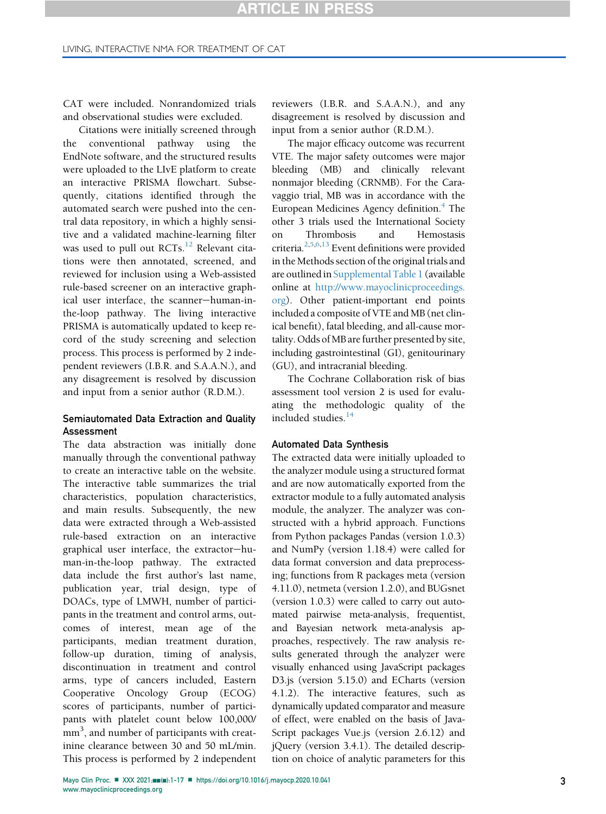CAT were included. Nonrandomized trials and observational studies were excluded.

Citations were initially screened through the conventional pathway using the EndNote software, and the structured results were uploaded to the LIvE platform to create an interactive PRISMA flowchart. Subsequently, citations identified through the automated search were pushed into the central data repository, in which a highly sensitive and a validated machine-learning filter was used to pull out RCTs.<sup>[12](#page-15-2)</sup> Relevant citations were then annotated, screened, and reviewed for inclusion using a Web-assisted rule-based screener on an interactive graphical user interface, the scanner-human-inthe-loop pathway. The living interactive PRISMA is automatically updated to keep record of the study screening and selection process. This process is performed by 2 independent reviewers (I.B.R. and S.A.A.N.), and any disagreement is resolved by discussion and input from a senior author (R.D.M.).

## Semiautomated Data Extraction and Quality Assessment

The data abstraction was initially done manually through the conventional pathway to create an interactive table on the website. The interactive table summarizes the trial characteristics, population characteristics, and main results. Subsequently, the new data were extracted through a Web-assisted rule-based extraction on an interactive graphical user interface, the extractor-human-in-the-loop pathway. The extracted data include the first author's last name, publication year, trial design, type of DOACs, type of LMWH, number of participants in the treatment and control arms, outcomes of interest, mean age of the participants, median treatment duration, follow-up duration, timing of analysis, discontinuation in treatment and control arms, type of cancers included, Eastern Cooperative Oncology Group (ECOG) scores of participants, number of participants with platelet count below 100,000/ mm<sup>3</sup>, and number of participants with creatinine clearance between 30 and 50 mL/min. This process is performed by 2 independent

reviewers (I.B.R. and S.A.A.N.), and any disagreement is resolved by discussion and input from a senior author (R.D.M.).

The major efficacy outcome was recurrent VTE. The major safety outcomes were major bleeding (MB) and clinically relevant nonmajor bleeding (CRNMB). For the Caravaggio trial, MB was in accordance with the European Medicines Agency definition.<sup>[4](#page-14-3)</sup> The other 3 trials used the International Society on Thrombosis and Hemostasis criteria[.2,](#page-14-1)[5](#page-14-7)[,6,](#page-14-8)[13](#page-15-3) Event definitions were provided in the Methods section of the original trials and are outlined in Supplemental Table 1 (available online at [http://www.mayoclinicproceedings.](http://www.mayoclinicproceedings.org) [org\)](http://www.mayoclinicproceedings.org). Other patient-important end points included a composite of VTE and MB (net clinical benefit), fatal bleeding, and all-cause mortality. Odds of MB are further presented by site, including gastrointestinal (GI), genitourinary (GU), and intracranial bleeding.

The Cochrane Collaboration risk of bias assessment tool version 2 is used for evaluating the methodologic quality of the included studies.<sup>[14](#page-15-4)</sup>

#### Automated Data Synthesis

The extracted data were initially uploaded to the analyzer module using a structured format and are now automatically exported from the extractor module to a fully automated analysis module, the analyzer. The analyzer was constructed with a hybrid approach. Functions from Python packages Pandas (version 1.0.3) and NumPy (version 1.18.4) were called for data format conversion and data preprocessing; functions from R packages meta (version 4.11.0), netmeta (version 1.2.0), and BUGsnet (version 1.0.3) were called to carry out automated pairwise meta-analysis, frequentist, and Bayesian network meta-analysis approaches, respectively. The raw analysis results generated through the analyzer were visually enhanced using JavaScript packages D3.js (version 5.15.0) and ECharts (version 4.1.2). The interactive features, such as dynamically updated comparator and measure of effect, were enabled on the basis of Java-Script packages Vue.js (version 2.6.12) and jQuery (version 3.4.1). The detailed description on choice of analytic parameters for this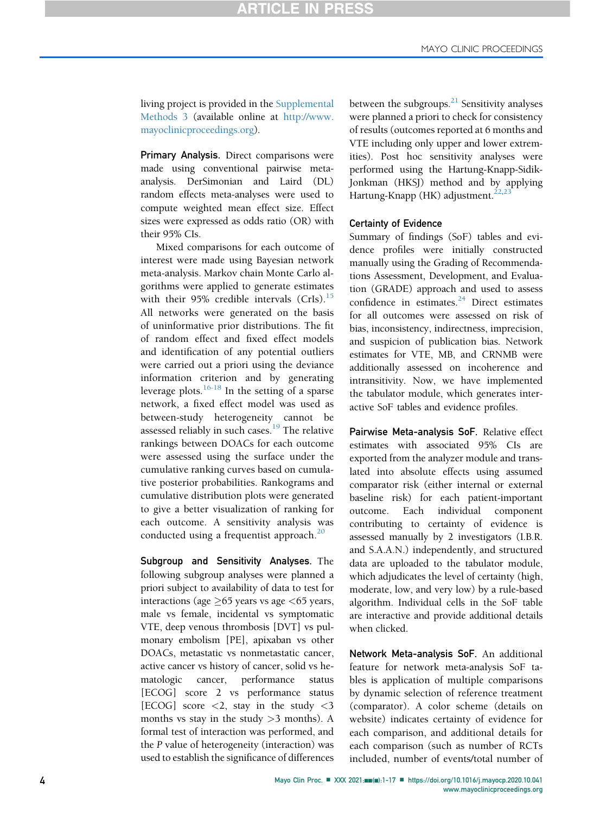living project is provided in the Supplemental Methods 3 (available online at [http://www.](http://www.mayoclinicproceedings.org) [mayoclinicproceedings.org](http://www.mayoclinicproceedings.org)).

Primary Analysis. Direct comparisons were made using conventional pairwise metaanalysis. DerSimonian and Laird (DL) random effects meta-analyses were used to compute weighted mean effect size. Effect sizes were expressed as odds ratio (OR) with their 95% CIs.

Mixed comparisons for each outcome of interest were made using Bayesian network meta-analysis. Markov chain Monte Carlo algorithms were applied to generate estimates with their  $95\%$  credible intervals (CrIs).<sup>[15](#page-15-5)</sup> All networks were generated on the basis of uninformative prior distributions. The fit of random effect and fixed effect models and identification of any potential outliers were carried out a priori using the deviance information criterion and by generating leverage plots. $16-18$  In the setting of a sparse network, a fixed effect model was used as between-study heterogeneity cannot be assessed reliably in such cases.<sup>[19](#page-15-7)</sup> The relative rankings between DOACs for each outcome were assessed using the surface under the cumulative ranking curves based on cumulative posterior probabilities. Rankograms and cumulative distribution plots were generated to give a better visualization of ranking for each outcome. A sensitivity analysis was conducted using a frequentist approach. $^{20}$  $^{20}$  $^{20}$ 

Subgroup and Sensitivity Analyses. The following subgroup analyses were planned a priori subject to availability of data to test for interactions (age  $\geq$ 65 years vs age  $<$ 65 years, male vs female, incidental vs symptomatic VTE, deep venous thrombosis [DVT] vs pulmonary embolism [PE], apixaban vs other DOACs, metastatic vs nonmetastatic cancer, active cancer vs history of cancer, solid vs hematologic cancer, performance status [ECOG] score 2 vs performance status [ECOG] score  $\langle 2, \text{stay in the study } \langle 3 \rangle$ months vs stay in the study  $>3$  months). A formal test of interaction was performed, and the P value of heterogeneity (interaction) was used to establish the significance of differences

between the subgroups. $^{21}$  Sensitivity analyses were planned a priori to check for consistency of results (outcomes reported at 6 months and VTE including only upper and lower extremities). Post hoc sensitivity analyses were performed using the Hartung-Knapp-Sidik-Jonkman (HKSJ) method and by applying Hartung-Knapp (HK) adjustment. $22$ ,

#### Certainty of Evidence

Summary of findings (SoF) tables and evidence profiles were initially constructed manually using the Grading of Recommendations Assessment, Development, and Evaluation (GRADE) approach and used to assess confidence in estimates. $24$  Direct estimates for all outcomes were assessed on risk of bias, inconsistency, indirectness, imprecision, and suspicion of publication bias. Network estimates for VTE, MB, and CRNMB were additionally assessed on incoherence and intransitivity. Now, we have implemented the tabulator module, which generates interactive SoF tables and evidence profiles.

Pairwise Meta-analysis SoF. Relative effect estimates with associated 95% CIs are exported from the analyzer module and translated into absolute effects using assumed comparator risk (either internal or external baseline risk) for each patient-important outcome. Each individual component contributing to certainty of evidence is assessed manually by 2 investigators (I.B.R. and S.A.A.N.) independently, and structured data are uploaded to the tabulator module, which adjudicates the level of certainty (high, moderate, low, and very low) by a rule-based algorithm. Individual cells in the SoF table are interactive and provide additional details when clicked.

Network Meta-analysis SoF. An additional feature for network meta-analysis SoF tables is application of multiple comparisons by dynamic selection of reference treatment (comparator). A color scheme (details on website) indicates certainty of evidence for each comparison, and additional details for each comparison (such as number of RCTs included, number of events/total number of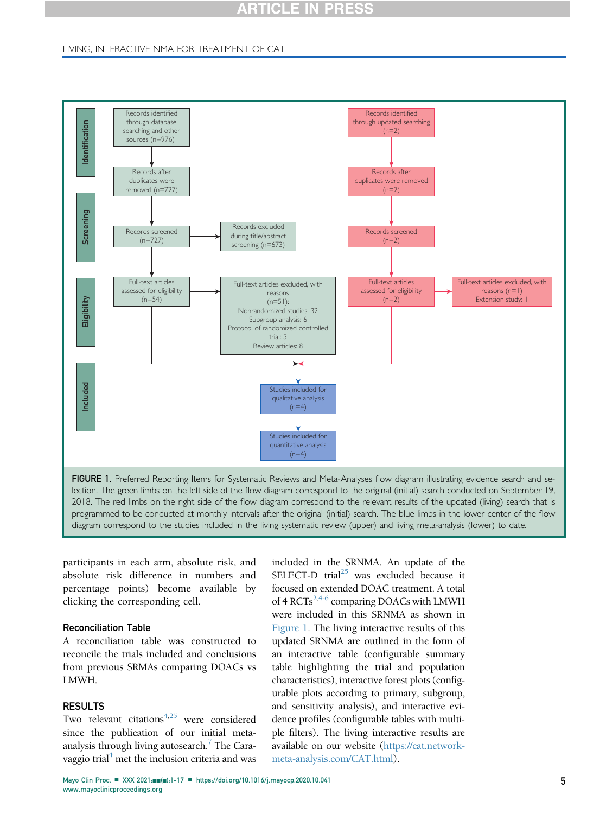### LIVING, INTERACTIVE NMA FOR TREATMENT OF CAT

<span id="page-4-0"></span>

participants in each arm, absolute risk, and absolute risk difference in numbers and percentage points) become available by clicking the corresponding cell.

## Reconciliation Table

A reconciliation table was constructed to reconcile the trials included and conclusions from previous SRMAs comparing DOACs vs LMWH.

# RESULTS

Two relevant citations<sup> $4,25$  $4,25$ </sup> were considered since the publication of our initial meta-analysis through living autosearch.<sup>[7](#page-14-4)</sup> The Caravaggio trial $<sup>4</sup>$  $<sup>4</sup>$  $<sup>4</sup>$  met the inclusion criteria and was</sup>

included in the SRNMA. An update of the SELECT-D trial<sup>25</sup> was excluded because it focused on extended DOAC treatment. A total of 4 RCTs<sup>[2](#page-14-1)[,4-6](#page-14-3)</sup> comparing DOACs with LMWH were included in this SRNMA as shown in [Figure 1.](#page-4-0) The living interactive results of this updated SRNMA are outlined in the form of an interactive table (configurable summary table highlighting the trial and population characteristics), interactive forest plots (configurable plots according to primary, subgroup, and sensitivity analysis), and interactive evidence profiles (configurable tables with multiple filters). The living interactive results are available on our website ([https://cat.network](https://cat.network-meta-analysis.com/CAT.html)[meta-analysis.com/CAT.html\)](https://cat.network-meta-analysis.com/CAT.html).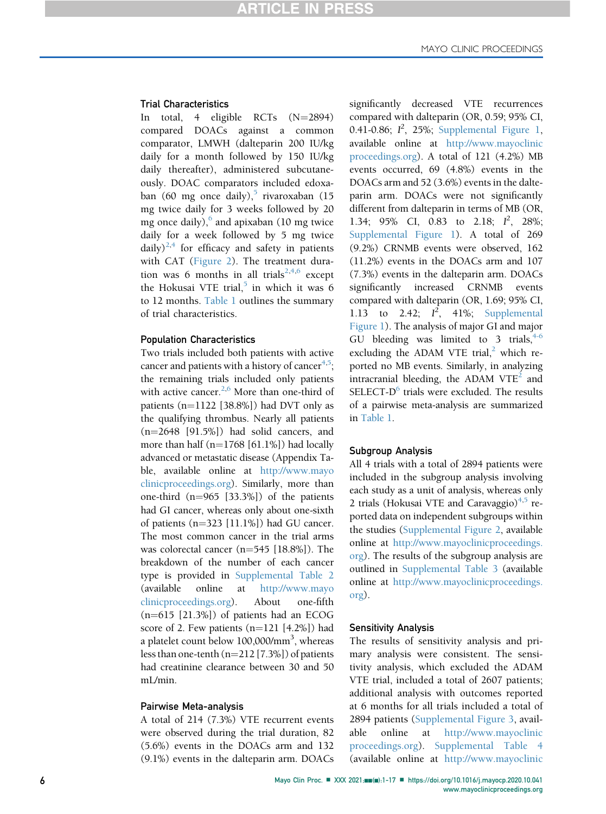#### Trial Characteristics

In total, 4 eligible RCTs  $(N=2894)$ compared DOACs against a common comparator, LMWH (dalteparin 200 IU/kg daily for a month followed by 150 IU/kg daily thereafter), administered subcutaneously. DOAC comparators included edoxa-ban (60 mg once daily),<sup>[5](#page-14-7)</sup> rivaroxaban (15 mg twice daily for 3 weeks followed by 20 mg once daily), $6$  and apixaban (10 mg twice daily for a week followed by 5 mg twice daily)<sup>[2](#page-14-1)[,4](#page-14-3)</sup> for efficacy and safety in patients with CAT [\(Figure 2](#page-6-0)). The treatment dura-tion was 6 months in all trials<sup>[2](#page-14-1)[,4](#page-14-3),[6](#page-14-8)</sup> except the Hokusai VTE trial, $5$  in which it was 6 to 12 months. [Table 1](#page-8-0) outlines the summary of trial characteristics.

#### Population Characteristics

Two trials included both patients with active cancer and patients with a history of cancer<sup>[4](#page-14-3)[,5](#page-14-7)</sup>; the remaining trials included only patients with active cancer. $2,6$  $2,6$  More than one-third of patients  $(n=1122 [38.8\%])$  had DVT only as the qualifying thrombus. Nearly all patients  $(n=2648$  [91.5%]) had solid cancers, and more than half  $(n=1768 [61.1\%])$  had locally advanced or metastatic disease (Appendix Table, available online at [http://www.mayo](http://www.mayoclinicproceedings.org) [clinicproceedings.org](http://www.mayoclinicproceedings.org)). Similarly, more than one-third  $(n=965 [33.3\%])$  of the patients had GI cancer, whereas only about one-sixth of patients  $(n=323 [11.1\%])$  had GU cancer. The most common cancer in the trial arms was colorectal cancer  $(n=545 [18.8\%])$ . The breakdown of the number of each cancer type is provided in Supplemental Table 2 (available online at [http://www.mayo](http://www.mayoclinicproceedings.org) [clinicproceedings.org](http://www.mayoclinicproceedings.org)). About one-fifth  $(n=615 [21.3\%])$  of patients had an ECOG score of 2. Few patients  $(n=121 [4.2\%])$  had a platelet count below 100,000/mm<sup>3</sup>, whereas less than one-tenth  $(n=212 [7.3\%])$  of patients had creatinine clearance between 30 and 50 mL/min.

#### Pairwise Meta-analysis

A total of 214 (7.3%) VTE recurrent events were observed during the trial duration, 82 (5.6%) events in the DOACs arm and 132 (9.1%) events in the dalteparin arm. DOACs significantly decreased VTE recurrences compared with dalteparin (OR, 0.59; 95% CI, 0.41-0.86;  $I^2$ , 25%; Supplemental Figure 1, available online at [http://www.mayoclinic](http://www.mayoclinicproceedings.org) [proceedings.org](http://www.mayoclinicproceedings.org)). A total of 121 (4.2%) MB events occurred, 69 (4.8%) events in the DOACs arm and 52 (3.6%) events in the dalteparin arm. DOACs were not significantly different from dalteparin in terms of MB (OR, 1.34; 95% CI, 0.83 to 2.18;  $I^2$ , 28%; Supplemental Figure 1). A total of 269 (9.2%) CRNMB events were observed, 162 (11.2%) events in the DOACs arm and 107 (7.3%) events in the dalteparin arm. DOACs significantly increased CRNMB events compared with dalteparin (OR, 1.69; 95% CI, 1.13 to 2.42;  $I^2$ , 41%; Supplemental Figure 1). The analysis of major GI and major GU bleeding was limited to 3 trials,  $4-6$ excluding the ADAM VTE trial, $^2$  which reported no MB events. Similarly, in analyzing intracranial bleeding, the ADAM VTE<sup>[2](#page-14-1)</sup> and SELECT- $D^6$  trials were excluded. The results of a pairwise meta-analysis are summarized in [Table 1.](#page-8-0)

#### Subgroup Analysis

All 4 trials with a total of 2894 patients were included in the subgroup analysis involving each study as a unit of analysis, whereas only 2 trials (Hokusai VTE and Caravaggio) $4.5$  $4.5$  reported data on independent subgroups within the studies (Supplemental Figure 2, available online at [http://www.mayoclinicproceedings.](http://www.mayoclinicproceedings.org) [org\)](http://www.mayoclinicproceedings.org). The results of the subgroup analysis are outlined in Supplemental Table 3 (available online at [http://www.mayoclinicproceedings.](http://www.mayoclinicproceedings.org) [org\)](http://www.mayoclinicproceedings.org).

#### Sensitivity Analysis

The results of sensitivity analysis and primary analysis were consistent. The sensitivity analysis, which excluded the ADAM VTE trial, included a total of 2607 patients; additional analysis with outcomes reported at 6 months for all trials included a total of 2894 patients (Supplemental Figure 3, available online at [http://www.mayoclinic](http://www.mayoclinicproceedings.org) [proceedings.org\)](http://www.mayoclinicproceedings.org). Supplemental Table 4 (available online at [http://www.mayoclinic](http://www.mayoclinicproceedings.org)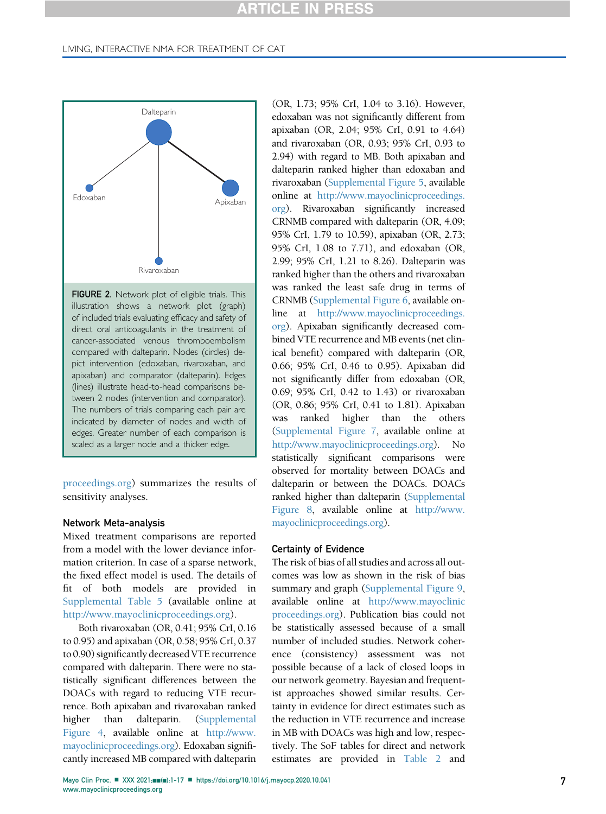#### LIVING, INTERACTIVE NMA FOR TREATMENT OF CAT

<span id="page-6-0"></span>

[proceedings.org](http://www.mayoclinicproceedings.org)) summarizes the results of sensitivity analyses.

#### Network Meta-analysis

Mixed treatment comparisons are reported from a model with the lower deviance information criterion. In case of a sparse network, the fixed effect model is used. The details of fit of both models are provided in Supplemental Table 5 (available online at [http://www.mayoclinicproceedings.org\)](http://www.mayoclinicproceedings.org).

Both rivaroxaban (OR, 0.41; 95% CrI, 0.16 to 0.95) and apixaban (OR, 0.58; 95% CrI, 0.37 to 0.90) significantly decreased VTE recurrence compared with dalteparin. There were no statistically significant differences between the DOACs with regard to reducing VTE recurrence. Both apixaban and rivaroxaban ranked higher than dalteparin. (Supplemental Figure 4, available online at [http://www.](http://www.mayoclinicproceedings.org) [mayoclinicproceedings.org](http://www.mayoclinicproceedings.org)). Edoxaban significantly increased MB compared with dalteparin

(OR, 1.73; 95% CrI, 1.04 to 3.16). However, edoxaban was not significantly different from apixaban (OR, 2.04; 95% CrI, 0.91 to 4.64) and rivaroxaban (OR, 0.93; 95% CrI, 0.93 to 2.94) with regard to MB. Both apixaban and dalteparin ranked higher than edoxaban and rivaroxaban (Supplemental Figure 5, available online at [http://www.mayoclinicproceedings.](http://www.mayoclinicproceedings.org) [org\)](http://www.mayoclinicproceedings.org). Rivaroxaban significantly increased CRNMB compared with dalteparin (OR, 4.09; 95% CrI, 1.79 to 10.59), apixaban (OR, 2.73; 95% CrI, 1.08 to 7.71), and edoxaban (OR, 2.99; 95% CrI, 1.21 to 8.26). Dalteparin was ranked higher than the others and rivaroxaban was ranked the least safe drug in terms of CRNMB (Supplemental Figure 6, available online at [http://www.mayoclinicproceedings.](http://www.mayoclinicproceedings.org) [org\)](http://www.mayoclinicproceedings.org). Apixaban significantly decreased combined VTE recurrence and MB events (net clinical benefit) compared with dalteparin (OR, 0.66; 95% CrI, 0.46 to 0.95). Apixaban did not significantly differ from edoxaban (OR, 0.69; 95% CrI, 0.42 to 1.43) or rivaroxaban (OR, 0.86; 95% CrI, 0.41 to 1.81). Apixaban was ranked higher than the others (Supplemental Figure 7, available online at <http://www.mayoclinicproceedings.org>). No statistically significant comparisons were observed for mortality between DOACs and dalteparin or between the DOACs. DOACs ranked higher than dalteparin (Supplemental Figure 8, available online at [http://www.](http://www.mayoclinicproceedings.org) [mayoclinicproceedings.org\)](http://www.mayoclinicproceedings.org).

#### Certainty of Evidence

The risk of bias of all studies and across all outcomes was low as shown in the risk of bias summary and graph (Supplemental Figure 9, available online at [http://www.mayoclinic](http://www.mayoclinicproceedings.org) [proceedings.org](http://www.mayoclinicproceedings.org)). Publication bias could not be statistically assessed because of a small number of included studies. Network coherence (consistency) assessment was not possible because of a lack of closed loops in our network geometry. Bayesian and frequentist approaches showed similar results. Certainty in evidence for direct estimates such as the reduction in VTE recurrence and increase in MB with DOACs was high and low, respectively. The SoF tables for direct and network estimates are provided in [Table 2](#page-9-0) and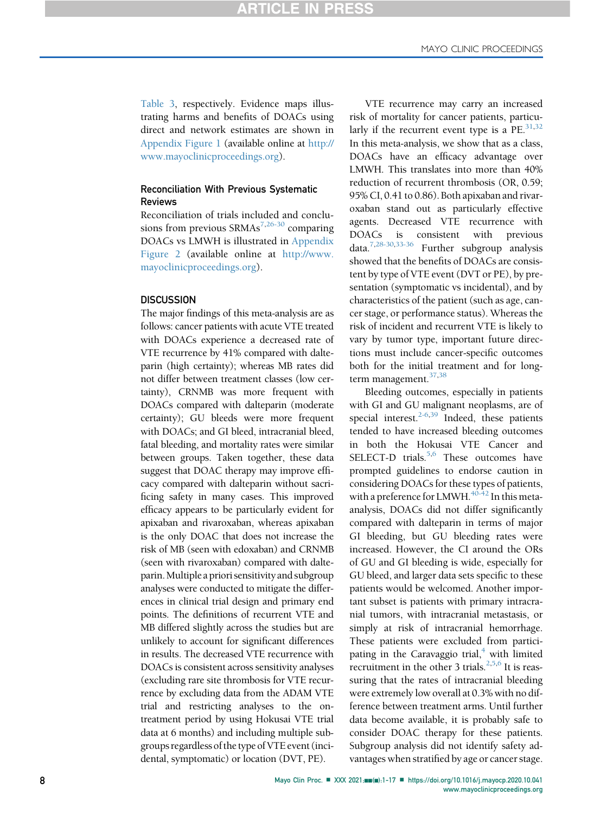[Table 3](#page-11-0), respectively. Evidence maps illustrating harms and benefits of DOACs using direct and network estimates are shown in Appendix Figure 1 (available online at [http://](http://www.mayoclinicproceedings.org) [www.mayoclinicproceedings.org](http://www.mayoclinicproceedings.org)).

# Reconciliation With Previous Systematic Reviews

Reconciliation of trials included and conclusions from previous  $SRMAs^{7,26-30}$  $SRMAs^{7,26-30}$  $SRMAs^{7,26-30}$  $SRMAs^{7,26-30}$  comparing DOACs vs LMWH is illustrated in Appendix Figure 2 (available online at [http://www.](http://www.mayoclinicproceedings.org) [mayoclinicproceedings.org\)](http://www.mayoclinicproceedings.org).

#### **DISCUSSION**

The major findings of this meta-analysis are as follows: cancer patients with acute VTE treated with DOACs experience a decreased rate of VTE recurrence by 41% compared with dalteparin (high certainty); whereas MB rates did not differ between treatment classes (low certainty), CRNMB was more frequent with DOACs compared with dalteparin (moderate certainty); GU bleeds were more frequent with DOACs; and GI bleed, intracranial bleed, fatal bleeding, and mortality rates were similar between groups. Taken together, these data suggest that DOAC therapy may improve efficacy compared with dalteparin without sacrificing safety in many cases. This improved efficacy appears to be particularly evident for apixaban and rivaroxaban, whereas apixaban is the only DOAC that does not increase the risk of MB (seen with edoxaban) and CRNMB (seen with rivaroxaban) compared with dalteparin.Multiple a priori sensitivity and subgroup analyses were conducted to mitigate the differences in clinical trial design and primary end points. The definitions of recurrent VTE and MB differed slightly across the studies but are unlikely to account for significant differences in results. The decreased VTE recurrence with DOACs is consistent across sensitivity analyses (excluding rare site thrombosis for VTE recurrence by excluding data from the ADAM VTE trial and restricting analyses to the ontreatment period by using Hokusai VTE trial data at 6 months) and including multiple subgroups regardless of the type of VTE event (incidental, symptomatic) or location (DVT, PE).

VTE recurrence may carry an increased risk of mortality for cancer patients, particularly if the recurrent event type is a  $PE.^{31,32}$  $PE.^{31,32}$  $PE.^{31,32}$ In this meta-analysis, we show that as a class, DOACs have an efficacy advantage over LMWH. This translates into more than 40% reduction of recurrent thrombosis (OR, 0.59; 95% CI, 0.41 to 0.86). Both apixaban and rivaroxaban stand out as particularly effective agents. Decreased VTE recurrence with DOACs is consistent with previous data.[7](#page-14-4)[,28-30](#page-15-17)[,33-36](#page-15-18) Further subgroup analysis showed that the benefits of DOACs are consistent by type of VTE event (DVT or PE), by presentation (symptomatic vs incidental), and by characteristics of the patient (such as age, cancer stage, or performance status). Whereas the risk of incident and recurrent VTE is likely to vary by tumor type, important future directions must include cancer-specific outcomes both for the initial treatment and for long-term management.<sup>37[,38](#page-15-20)</sup>

Bleeding outcomes, especially in patients with GI and GU malignant neoplasms, are of special interest. $2-6,39$  $2-6,39$  Indeed, these patients tended to have increased bleeding outcomes in both the Hokusai VTE Cancer and SELECT-D trials.<sup>[5](#page-14-7)[,6](#page-14-8)</sup> These outcomes have prompted guidelines to endorse caution in considering DOACs for these types of patients, with a preference for LMWH.<sup>[40-42](#page-15-22)</sup> In this metaanalysis, DOACs did not differ significantly compared with dalteparin in terms of major GI bleeding, but GU bleeding rates were increased. However, the CI around the ORs of GU and GI bleeding is wide, especially for GU bleed, and larger data sets specific to these patients would be welcomed. Another important subset is patients with primary intracranial tumors, with intracranial metastasis, or simply at risk of intracranial hemorrhage. These patients were excluded from participating in the Caravaggio trial, $4$  with limited recruitment in the other 3 trials. $2,5,6$  $2,5,6$  $2,5,6$  It is reassuring that the rates of intracranial bleeding were extremely low overall at 0.3% with no difference between treatment arms. Until further data become available, it is probably safe to consider DOAC therapy for these patients. Subgroup analysis did not identify safety advantages when stratified by age or cancer stage.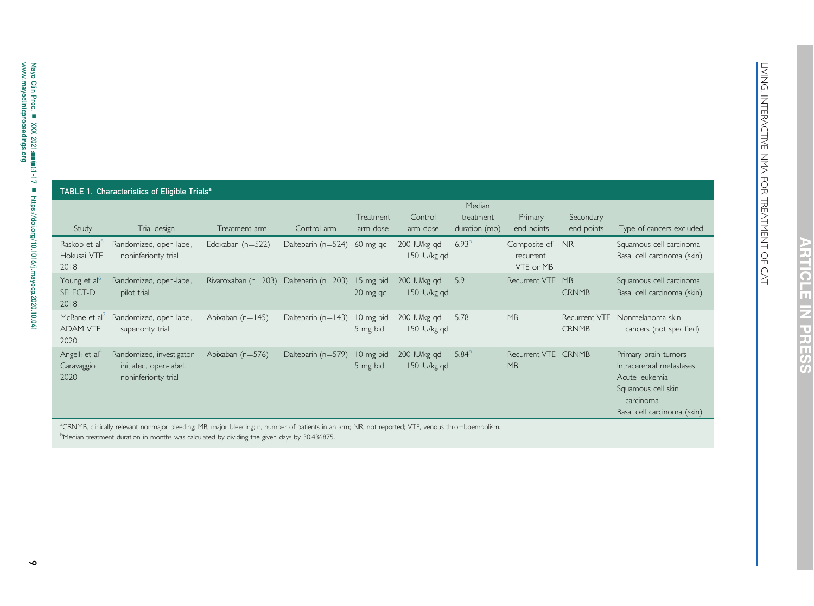<span id="page-8-2"></span><span id="page-8-1"></span>

| ш      |
|--------|
| ı      |
|        |
| I<br>I |
| I      |

<span id="page-8-0"></span>

| Study                                                | TABLE 1. Characteristics of Eligible Trials <sup>a</sup><br>Trial design    | Treatment arm                          | Control arm                 | Treatment<br>arm dose | Control<br>arm dose          | Median<br>treatment<br>duration (mo) | Primary<br>end points                     | Secondary<br>end points | Type of cancers excluded                                                                                                             |
|------------------------------------------------------|-----------------------------------------------------------------------------|----------------------------------------|-----------------------------|-----------------------|------------------------------|--------------------------------------|-------------------------------------------|-------------------------|--------------------------------------------------------------------------------------------------------------------------------------|
| Raskob et al <sup>5</sup><br>Hokusai VTE<br>2018     | Randomized, open-label,<br>noninferiority trial                             | Edoxaban $(n=522)$                     | Dalteparin (n=524) 60 mg qd |                       | 200 IU/kg gd<br>150 IU/kg gd | $6.93^{b}$                           | Composite of NR<br>recurrent<br>VTF or MB |                         | Squamous cell carcinoma<br>Basal cell carcinoma (skin)                                                                               |
| Young et al <sup>6</sup><br>SELECT-D<br>2018         | Randomized, open-label,<br>pilot trial                                      | Rivaroxaban (n=203) Dalteparin (n=203) |                             | 15 mg bid<br>20 mg qd | 200 IU/kg gd<br>150 IU/kg gd | 5.9                                  | Recurrent VTE MB                          | <b>CRNMB</b>            | Squamous cell carcinoma<br>Basal cell carcinoma (skin)                                                                               |
| McBane et al <sup>2</sup><br><b>ADAM VTE</b><br>2020 | Randomized, open-label,<br>superiority trial                                | Apixaban (n=145)                       | Dalteparin $(n=143)$        | 10 mg bid<br>5 mg bid | 200 IU/kg gd<br>150 IU/kg gd | 5.78                                 | MB                                        | <b>CRNMB</b>            | Recurrent VTE Nonmelanoma skin<br>cancers (not specified)                                                                            |
| Angelli et al<br>Caravaggio<br>2020                  | Randomized, investigator-<br>initiated, open-label,<br>noninferiority trial | Apixaban (n=576)                       | Dalteparin (n=579)          | 10 mg bid<br>5 mg bid | 200 IU/kg gd<br>150 IU/kg gd | $5.84^{b}$                           | Recurrent VTE CRNMB<br>MB                 |                         | Primary brain tumors<br>Intracerebral metastases<br>Acute leukemia<br>Squamous cell skin<br>carcinoma<br>Basal cell carcinoma (skin) |

aCRNMB, clinically relevant nonmajor bleeding; MB, major bleeding; n, number of patients in an arm; NR, not reported; VTE, venous thromboembolism.

bMedian treatment duration in months was calculated by dividing the given days by 30.436875.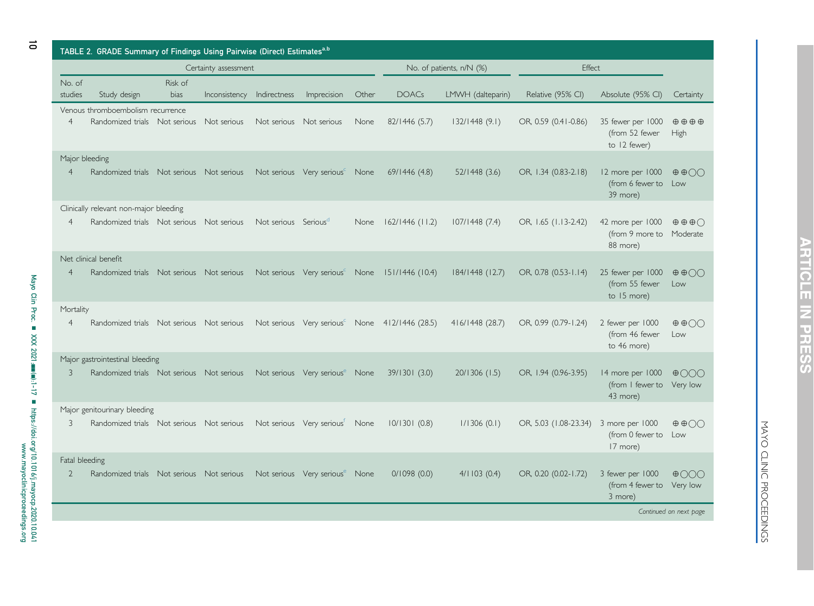<span id="page-9-0"></span>

| TABLE 2. GRADE Summary of Findings Using Pairwise (Direct) Estimates <sup>a,b</sup> |                                                                                     |                 |                      |                                  |                                            |       |                                                            |                          |                       |                                                     |                                                    |
|-------------------------------------------------------------------------------------|-------------------------------------------------------------------------------------|-----------------|----------------------|----------------------------------|--------------------------------------------|-------|------------------------------------------------------------|--------------------------|-----------------------|-----------------------------------------------------|----------------------------------------------------|
|                                                                                     |                                                                                     |                 | Certainty assessment |                                  |                                            |       |                                                            | No. of patients, n/N (%) | <b>Fffect</b>         |                                                     |                                                    |
| No. of<br>studies                                                                   | Study design                                                                        | Risk of<br>bias | Inconsistency        | Indirectness                     | Imprecision                                | Other | <b>DOACs</b>                                               | LMWH (dalteparin)        | Relative (95% CI)     | Absolute (95% CI)                                   | Certainty                                          |
| $\overline{4}$                                                                      | Venous thromboembolism recurrence<br>Randomized trials Not serious Not serious      |                 |                      |                                  | Not serious Not serious                    | None  | 82/1446 (5.7)                                              | 132/1448(9.1)            | OR, 0.59 (0.41-0.86)  | 35 fewer per 1000<br>(from 52 fewer<br>to 12 fewer) | $\oplus \oplus \oplus \oplus$<br>High              |
| $\overline{4}$                                                                      | Major bleeding<br>Randomized trials Not serious Not serious                         |                 |                      |                                  | Not serious Very serious <sup>c</sup> None |       | 69/1446(4.8)                                               | 52/1448 (3.6)            | OR, 1.34 (0.83-2.18)  | 12 more per 1000<br>(from 6 fewer to<br>39 more)    | $\oplus$ $\oplus$ $\odot$<br>Low                   |
| $\overline{4}$                                                                      | Clinically relevant non-major bleeding<br>Randomized trials Not serious Not serious |                 |                      | Not serious Serious <sup>a</sup> |                                            | None  | $162/1446$ (11.2)                                          | 107/1448(7.4)            | OR, 1.65 (1.13-2.42)  | 42 more per 1000<br>(from 9 more to<br>88 more)     | $\oplus$ $\oplus$ $\oplus$<br>Moderate             |
| $\overline{4}$                                                                      | Net clinical benefit<br>Randomized trials Not serious Not serious                   |                 |                      |                                  | Not serious Very serious <sup>c</sup> None |       | 151/1446 (10.4)                                            | 184/1448 (12.7)          | OR, 0.78 (0.53-1.14)  | 25 fewer per 1000<br>(from 55 fewer<br>to 15 more)  | $\oplus$ $\oplus$ $\odot$<br>Low                   |
| Mortality<br>$\overline{4}$                                                         | Randomized trials Not serious Not serious                                           |                 |                      |                                  |                                            |       | Not serious Very serious <sup>c</sup> None 412/1446 (28.5) | 416/1448 (28.7)          | OR, 0.99 (0.79-1.24)  | 2 fewer per 1000<br>(from 46 fewer<br>to 46 more)   | $\oplus$ $\oplus$ $\odot$<br>Low                   |
| 3                                                                                   | Major gastrointestinal bleeding<br>Randomized trials Not serious Not serious        |                 |                      |                                  | Not serious Very serious <sup>e</sup> None |       | 39/1301 (3.0)                                              | 20/1306 (1.5)            | OR, 1.94 (0.96-3.95)  | 14 more per 1000<br>(from I fewer to<br>43 more)    | $\oplus$ 000<br>Very low                           |
| 3                                                                                   | Major genitourinary bleeding<br>Randomized trials Not serious Not serious           |                 |                      |                                  | Not serious Very serious <sup>t</sup> None |       | 10/1301(0.8)                                               | 1/1306(0.1)              | OR, 5.03 (1.08-23.34) | 3 more per 1000<br>(from 0 fewer to<br>17 more)     | $\oplus$ $\oplus$ $\odot$<br>Low                   |
| Fatal bleeding<br>$\overline{2}$                                                    | Randomized trials Not serious Not serious                                           |                 |                      |                                  | Not serious Very serious <sup>e</sup> None |       | 0/1098(0.0)                                                | 4/1103(0.4)              | OR, 0.20 (0.02-1.72)  | 3 fewer per 1000<br>(from 4 fewer to<br>3 more)     | $\oplus$ 000<br>Very low<br>Continued on next page |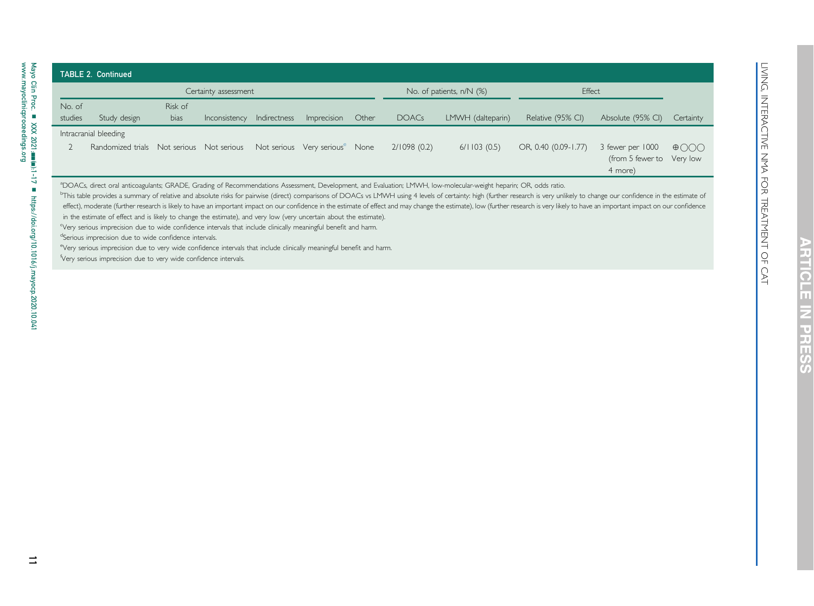| ī             |
|---------------|
| į             |
|               |
| $\frac{1}{2}$ |
|               |
|               |
|               |
|               |
| Ì             |
|               |
|               |
|               |
|               |
|               |
|               |
| Ì             |
| l             |
|               |
|               |
| <br> <br>1    |
| ℷ             |
| Ì             |
| j             |
|               |
|               |
| j             |
|               |
|               |
|               |
| )<br>I        |
|               |
| j<br>֚֚֚֬     |
|               |

<span id="page-10-5"></span><span id="page-10-4"></span><span id="page-10-3"></span><span id="page-10-2"></span><span id="page-10-1"></span><span id="page-10-0"></span>RTICLE

**NARE** 

.<br>S

|                   |                                                                                                                                                                                                        |                 | Certainty assessment    |              |                                            |       |              | No. of patients, n/N (%)                                                                                                                                                       | Effect                                                                                                                                                                                                                                   |                                               |                                  |
|-------------------|--------------------------------------------------------------------------------------------------------------------------------------------------------------------------------------------------------|-----------------|-------------------------|--------------|--------------------------------------------|-------|--------------|--------------------------------------------------------------------------------------------------------------------------------------------------------------------------------|------------------------------------------------------------------------------------------------------------------------------------------------------------------------------------------------------------------------------------------|-----------------------------------------------|----------------------------------|
| No. of<br>studies | Study design                                                                                                                                                                                           | Risk of<br>bias | <b>Inconsistency</b>    | Indirectness | Imprecision                                | Other | <b>DOACs</b> | LMWH (dalteparin)                                                                                                                                                              | Relative (95% CI)                                                                                                                                                                                                                        | Absolute (95% CI)                             | Certainty                        |
|                   | Intracranial bleeding<br>Randomized trials                                                                                                                                                             |                 | Not serious Not serious |              | Not serious Very serious <sup>e</sup> None |       | 2/1098(0.2)  | 6/1103(0.5)                                                                                                                                                                    | OR, 0.40 (0.09-1.77)                                                                                                                                                                                                                     | 3 fewer per 1000<br>(from 5 fewer to Very low | $\oplus$ $\odot$ $\odot$ $\odot$ |
|                   |                                                                                                                                                                                                        |                 |                         |              |                                            |       |              |                                                                                                                                                                                |                                                                                                                                                                                                                                          | 4 more)                                       |                                  |
|                   |                                                                                                                                                                                                        |                 |                         |              |                                            |       |              | <sup>a</sup> DOACs, direct oral anticoagulants; GRADE, Grading of Recommendations Assessment, Development, and Evaluation; LMWH, low-molecular-weight heparin; OR, odds ratio. | <sup>b</sup> This table provides a summary of relative and absolute risks for pairwise (direct) comparisons of DOACs vs LMWH using 4 levels of certainty: high (further research is very unlikely to change our confidence in the estima |                                               |                                  |
|                   | in the estimate of effect and is likely to change the estimate), and very low (very uncertain about the estimate).                                                                                     |                 |                         |              |                                            |       |              |                                                                                                                                                                                | effect), moderate (further research is likely to have an important impact on our confidence in the estimate of effect and may change the estimate), low (further research is very likely to have an important impact on our co           |                                               |                                  |
|                   | Very serious imprecision due to wide confidence intervals that include clinically meaningful benefit and harm.                                                                                         |                 |                         |              |                                            |       |              |                                                                                                                                                                                |                                                                                                                                                                                                                                          |                                               |                                  |
|                   | <sup>d</sup> Serious imprecision due to wide confidence intervals.<br><sup>e</sup> Very serious imprecision due to very wide confidence intervals that include clinically meaningful benefit and harm. |                 |                         |              |                                            |       |              |                                                                                                                                                                                |                                                                                                                                                                                                                                          |                                               |                                  |
|                   | Very serious imprecision due to very wide confidence intervals.                                                                                                                                        |                 |                         |              |                                            |       |              |                                                                                                                                                                                |                                                                                                                                                                                                                                          |                                               |                                  |
|                   |                                                                                                                                                                                                        |                 |                         |              |                                            |       |              |                                                                                                                                                                                |                                                                                                                                                                                                                                          |                                               |                                  |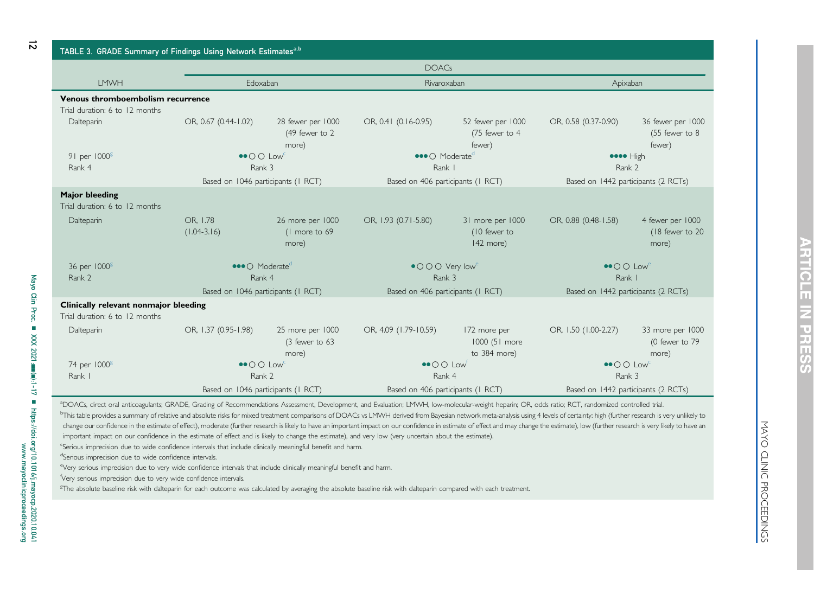<span id="page-11-7"></span><span id="page-11-6"></span><span id="page-11-5"></span><span id="page-11-4"></span><span id="page-11-3"></span><span id="page-11-2"></span><span id="page-11-1"></span>

| ı<br>٠<br>п<br>۱                |
|---------------------------------|
| R                               |
| Ш                               |
| $\Box$                          |
| ۰<br>п<br>المنابعين<br>$-11.11$ |

<span id="page-11-0"></span>

| TABLE 3. GRADE Summary of Findings Using Network Estimates <sup>a,b</sup> |                                               |                                              |                                                      |                                               |                                      |                                                   |  |
|---------------------------------------------------------------------------|-----------------------------------------------|----------------------------------------------|------------------------------------------------------|-----------------------------------------------|--------------------------------------|---------------------------------------------------|--|
|                                                                           |                                               |                                              | <b>DOACs</b>                                         |                                               |                                      |                                                   |  |
| <b>LMWH</b>                                                               | Edoxaban                                      |                                              | Rivaroxaban                                          |                                               | Apixaban                             |                                                   |  |
| <b>Venous thromboembolism recurrence</b>                                  |                                               |                                              |                                                      |                                               |                                      |                                                   |  |
| Trial duration: 6 to 12 months                                            |                                               |                                              |                                                      |                                               |                                      |                                                   |  |
| Dalteparin                                                                | OR, 0.67 (0.44-1.02)                          | 28 fewer per 1000<br>(49 fewer to 2<br>more) | OR, 0.41 (0.16-0.95)                                 | 52 fewer per 1000<br>(75 fewer to 4<br>fewer) | OR, 0.58 (0.37-0.90)                 | 36 fewer per 1000<br>$(55$ fewer to $8$<br>fewer) |  |
| 91 per 1000 <sup>g</sup>                                                  | $\bullet$ O O Low <sup>c</sup>                |                                              | $\bullet\bullet\bullet\bullet$ Moderate <sup>d</sup> |                                               | eeee High                            |                                                   |  |
| Rank 4                                                                    | Rank 3                                        |                                              | Rank                                                 |                                               | Rank 2                               |                                                   |  |
|                                                                           | Based on 1046 participants (1 RCT)            |                                              | Based on 406 participants (1 RCT)                    |                                               | Based on 1442 participants (2 RCTs)  |                                                   |  |
| <b>Major bleeding</b><br>Trial duration: 6 to 12 months                   |                                               |                                              |                                                      |                                               |                                      |                                                   |  |
| Dalteparin                                                                | OR, 1.78<br>$(1.04 - 3.16)$                   | 26 more per 1000<br>(1 more to 69<br>more)   | OR, 1.93 (0.71-5.80)                                 | 31 more per 1000<br>(10 fewer to<br>142 more) | OR, 0.88 (0.48-1.58)                 | 4 fewer per 1000<br>(18 fewer to 20<br>more)      |  |
| 36 per 1000 <sup>g</sup>                                                  | $\bullet\bullet\bullet$ Moderate <sup>c</sup> |                                              | $\bullet$ O O O Very low <sup>e</sup>                |                                               | $\bullet$ O O Low <sup>e</sup>       |                                                   |  |
| Rank 2                                                                    | Rank 4                                        |                                              | Rank 3                                               |                                               | Rank I                               |                                                   |  |
|                                                                           | Based on 1046 participants (1 RCT)            |                                              | Based on 406 participants (1 RCT)                    |                                               | Based on 1442 participants (2 RCTs)  |                                                   |  |
| Clinically relevant nonmajor bleeding<br>Trial duration: 6 to 12 months   |                                               |                                              |                                                      |                                               |                                      |                                                   |  |
| Dalteparin                                                                | OR, 1.37 (0.95-1.98)                          | 25 more per 1000<br>(3 fewer to 63<br>more)  | OR, 4.09 (1.79-10.59)                                | 172 more per<br>1000 (51 more<br>to 384 more) | OR, 1.50 (1.00-2.27)                 | 33 more per 1000<br>(0 fewer to 79<br>more)       |  |
| 74 per 1000 <sup>g</sup>                                                  | $\bullet$ O O Low <sup>c</sup>                |                                              | $\bullet$ O O Low                                    |                                               | $\bullet$ O $\circ$ Low <sup>c</sup> |                                                   |  |
| Rank I                                                                    | Rank 2                                        |                                              | Rank 4                                               |                                               | Rank 3                               |                                                   |  |
|                                                                           | Based on 1046 participants (1 RCT)            |                                              | Based on 406 participants (1 RCT)                    |                                               | Based on 1442 participants (2 RCTs)  |                                                   |  |

<sup>a</sup>DOACs, direct oral anticoagulants; GRADE, Grading of Recommendations Assessment, Development, and Evaluation; LMWH, Iow-molecular-weight heparin; OR, odds ratio; RCT, randomized controlled trial. <sup>b</sup>This table provides a summary of relative and absolute risks for mixed treatment comparisons of DOACs vs LMWH derived from Bayesian network meta-analysis using 4 levels of certainty: high (further research is very unlik change our confidence in the estimate of effect), moderate (further research is likely to have an important impact on our confidence in estimate of effect and may change the estimate), low (further research is very likely important impact on our confidence in the estimate of effect and is likely to change the estimate), and very low (very uncertain about the estimate).

<sup>c</sup>Serious imprecision due to wide confidence intervals that include clinically meaningful benefit and harm.

dSerious imprecision due to wide confidence intervals.

eVery serious imprecision due to very wide confidence intervals that include clinically meaningful benefit and harm.

<sup>f</sup>Very serious imprecision due to very wide confidence intervals.

<sup>g</sup>The absolute baseline risk with dalteparin for each outcome was calculated by averaging the absolute baseline risk with dalteparin compared with each treatment.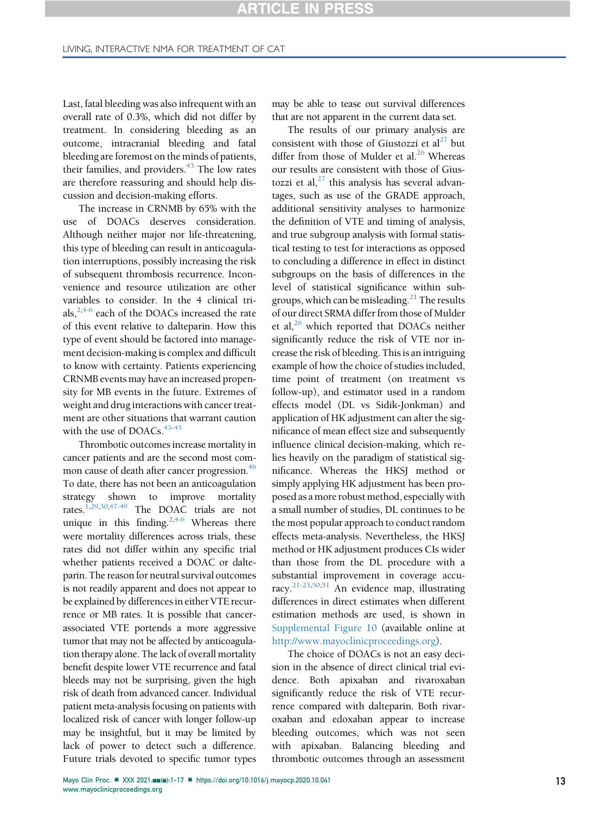Last, fatal bleeding was also infrequent with an overall rate of 0.3%, which did not differ by treatment. In considering bleeding as an outcome, intracranial bleeding and fatal bleeding are foremost on the minds of patients, their families, and providers. $43$  The low rates are therefore reassuring and should help discussion and decision-making efforts.

The increase in CRNMB by 65% with the use of DOACs deserves consideration. Although neither major nor life-threatening, this type of bleeding can result in anticoagulation interruptions, possibly increasing the risk of subsequent thrombosis recurrence. Inconvenience and resource utilization are other variables to consider. In the 4 clinical trials,  $2,4-6$  $2,4-6$  each of the DOACs increased the rate of this event relative to dalteparin. How this type of event should be factored into management decision-making is complex and difficult to know with certainty. Patients experiencing CRNMB events may have an increased propensity for MB events in the future. Extremes of weight and drug interactions with cancer treatment are other situations that warrant caution with the use of DOACs.<sup>[43-45](#page-15-23)</sup>

Thrombotic outcomes increase mortality in cancer patients and are the second most common cause of death after cancer progression.<sup>46</sup> To date, there has not been an anticoagulation strategy shown to improve mortality rates.[1](#page-14-0)[,29](#page-15-25)[,30,](#page-15-26)[47-49](#page-15-27) The DOAC trials are not unique in this finding.<sup>2,[4-6](#page-14-3)</sup> Whereas there were mortality differences across trials, these rates did not differ within any specific trial whether patients received a DOAC or dalteparin. The reason for neutral survival outcomes is not readily apparent and does not appear to be explained by differences in either VTE recurrence or MB rates. It is possible that cancerassociated VTE portends a more aggressive tumor that may not be affected by anticoagulation therapy alone. The lack of overall mortality benefit despite lower VTE recurrence and fatal bleeds may not be surprising, given the high risk of death from advanced cancer. Individual patient meta-analysis focusing on patients with localized risk of cancer with longer follow-up may be insightful, but it may be limited by lack of power to detect such a difference. Future trials devoted to specific tumor types

may be able to tease out survival differences that are not apparent in the current data set.

The results of our primary analysis are consistent with those of Giustozzi et  $al<sup>27</sup>$  but differ from those of Mulder et al. $^{26}$  Whereas our results are consistent with those of Giustozzi et al, $27$  this analysis has several advantages, such as use of the GRADE approach, additional sensitivity analyses to harmonize the definition of VTE and timing of analysis, and true subgroup analysis with formal statistical testing to test for interactions as opposed to concluding a difference in effect in distinct subgroups on the basis of differences in the level of statistical significance within subgroups, which can be misleading.<sup>21</sup> The results of our direct SRMA differ from those of Mulder et al, $^{26}$  which reported that DOACs neither significantly reduce the risk of VTE nor increase the risk of bleeding. This is an intriguing example of how the choice of studies included, time point of treatment (on treatment vs follow-up), and estimator used in a random effects model (DL vs Sidik-Jonkman) and application of HK adjustment can alter the significance of mean effect size and subsequently influence clinical decision-making, which relies heavily on the paradigm of statistical significance. Whereas the HKSJ method or simply applying HK adjustment has been proposed as a more robust method, especially with a small number of studies, DL continues to be the most popular approach to conduct random effects meta-analysis. Nevertheless, the HKSJ method or HK adjustment produces CIs wider than those from the DL procedure with a substantial improvement in coverage accuracy.[21-23,](#page-15-9)[50](#page-16-0)[,51](#page-16-1) An evidence map, illustrating differences in direct estimates when different estimation methods are used, is shown in Supplemental Figure 10 (available online at <http://www.mayoclinicproceedings.org>).

The choice of DOACs is not an easy decision in the absence of direct clinical trial evidence. Both apixaban and rivaroxaban significantly reduce the risk of VTE recurrence compared with dalteparin. Both rivaroxaban and edoxaban appear to increase bleeding outcomes, which was not seen with apixaban. Balancing bleeding and thrombotic outcomes through an assessment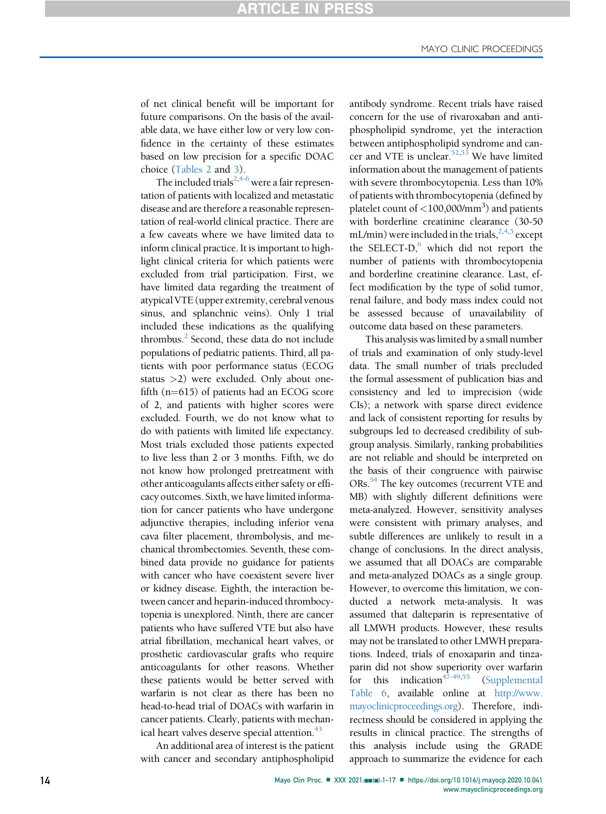of net clinical benefit will be important for future comparisons. On the basis of the available data, we have either low or very low confidence in the certainty of these estimates based on low precision for a specific DOAC choice ([Tables 2](#page-9-0) and [3](#page-11-0)).

The included trials<sup>[2,](#page-14-1)[4-6](#page-14-3)</sup> were a fair representation of patients with localized and metastatic disease and are therefore a reasonable representation of real-world clinical practice. There are a few caveats where we have limited data to inform clinical practice. It is important to highlight clinical criteria for which patients were excluded from trial participation. First, we have limited data regarding the treatment of atypical VTE (upper extremity, cerebral venous sinus, and splanchnic veins). Only 1 trial included these indications as the qualifying thrombus. $<sup>2</sup>$  $<sup>2</sup>$  $<sup>2</sup>$  Second, these data do not include</sup> populations of pediatric patients. Third, all patients with poor performance status (ECOG status >2) were excluded. Only about onefifth  $(n=615)$  of patients had an ECOG score of 2, and patients with higher scores were excluded. Fourth, we do not know what to do with patients with limited life expectancy. Most trials excluded those patients expected to live less than 2 or 3 months. Fifth, we do not know how prolonged pretreatment with other anticoagulants affects either safety or efficacy outcomes. Sixth, we have limited information for cancer patients who have undergone adjunctive therapies, including inferior vena cava filter placement, thrombolysis, and mechanical thrombectomies. Seventh, these combined data provide no guidance for patients with cancer who have coexistent severe liver or kidney disease. Eighth, the interaction between cancer and heparin-induced thrombocytopenia is unexplored. Ninth, there are cancer patients who have suffered VTE but also have atrial fibrillation, mechanical heart valves, or prosthetic cardiovascular grafts who require anticoagulants for other reasons. Whether these patients would be better served with warfarin is not clear as there has been no head-to-head trial of DOACs with warfarin in cancer patients. Clearly, patients with mechanical heart valves deserve special attention.<sup>43</sup>

An additional area of interest is the patient with cancer and secondary antiphospholipid antibody syndrome. Recent trials have raised concern for the use of rivaroxaban and antiphospholipid syndrome, yet the interaction between antiphospholipid syndrome and can-cer and VTE is unclear.<sup>52[,53](#page-16-3)</sup> We have limited information about the management of patients with severe thrombocytopenia. Less than 10% of patients with thrombocytopenia (defined by platelet count of  ${<}100{,}000/\mathrm{mm}^3$ ) and patients with borderline creatinine clearance (30-50 mL/min) were included in the trials,  $2,4,5$  $2,4,5$  $2,4,5$  except the SELECT-D, $6$  which did not report the number of patients with thrombocytopenia and borderline creatinine clearance. Last, effect modification by the type of solid tumor, renal failure, and body mass index could not be assessed because of unavailability of outcome data based on these parameters.

This analysis was limited by a small number of trials and examination of only study-level data. The small number of trials precluded the formal assessment of publication bias and consistency and led to imprecision (wide CIs); a network with sparse direct evidence and lack of consistent reporting for results by subgroups led to decreased credibility of subgroup analysis. Similarly, ranking probabilities are not reliable and should be interpreted on the basis of their congruence with pairwise ORs.<sup>[54](#page-16-4)</sup> The key outcomes (recurrent VTE and MB) with slightly different definitions were meta-analyzed. However, sensitivity analyses were consistent with primary analyses, and subtle differences are unlikely to result in a change of conclusions. In the direct analysis, we assumed that all DOACs are comparable and meta-analyzed DOACs as a single group. However, to overcome this limitation, we conducted a network meta-analysis. It was assumed that dalteparin is representative of all LMWH products. However, these results may not be translated to other LMWH preparations. Indeed, trials of enoxaparin and tinzaparin did not show superiority over warfarin for this indication<sup>[47-49](#page-15-27)[,55](#page-16-5)</sup> (Supplemental Table 6, available online at [http://www.](http://www.mayoclinicproceedings.org) [mayoclinicproceedings.org](http://www.mayoclinicproceedings.org)). Therefore, indirectness should be considered in applying the results in clinical practice. The strengths of this analysis include using the GRADE approach to summarize the evidence for each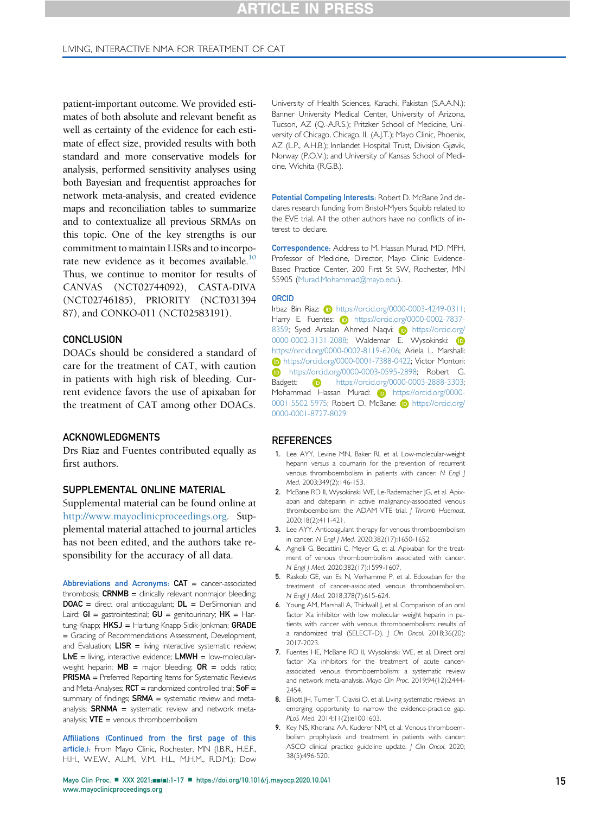patient-important outcome. We provided estimates of both absolute and relevant benefit as well as certainty of the evidence for each estimate of effect size, provided results with both standard and more conservative models for analysis, performed sensitivity analyses using both Bayesian and frequentist approaches for network meta-analysis, and created evidence maps and reconciliation tables to summarize and to contextualize all previous SRMAs on this topic. One of the key strengths is our commitment to maintain LISRs and to incorporate new evidence as it becomes available.<sup>10</sup> Thus, we continue to monitor for results of CANVAS (NCT02744092), CASTA-DIVA (NCT02746185), PRIORITY (NCT031394 87), and CONKO-011 (NCT02583191).

## **CONCLUSION**

DOACs should be considered a standard of care for the treatment of CAT, with caution in patients with high risk of bleeding. Current evidence favors the use of apixaban for the treatment of CAT among other DOACs.

#### ACKNOWLEDGMENTS

Drs Riaz and Fuentes contributed equally as first authors.

# SUPPLEMENTAL ONLINE MATERIAL

Supplemental material can be found online at [http://www.mayoclinicproceedings.org.](http://www.mayoclinicproceedings.org) Supplemental material attached to journal articles has not been edited, and the authors take responsibility for the accuracy of all data.

Abbreviations and Acronyms: CAT = cancer-associated thrombosis;  $CRNMB =$  clinically relevant nonmajor bleeding; DOAC = direct oral anticoagulant; DL = DerSimonian and Laird;  $GI =$  gastrointestinal;  $GU =$  genitourinary;  $HK = Har$ tung-Knapp; HKSJ = Hartung-Knapp-Sidik-Jonkman; GRADE = Grading of Recommendations Assessment, Development, and Evaluation;  $LIST = living$  interactive systematic review;  $LIVE =$  living, interactive evidence;  $LWWW =$  low-molecularweight heparin;  $MB =$  major bleeding;  $OR =$  odds ratio; PRISMA = Preferred Reporting Items for Systematic Reviews and Meta-Analyses;  $RCT$  = randomized controlled trial;  $SOF$  = summary of findings;  $SRNA =$  systematic review and metaanalysis;  $SRNMA$  = systematic review and network metaanalysis;  $VTE =$  venous thromboembolism

Affiliations (Continued from the first page of this article.): From Mayo Clinic, Rochester, MN (I.B.R., H.E.F., H.H., W.E.W., A.L.M., V.M., H.L., M.H.M., R.D.M.); Dow

University of Health Sciences, Karachi, Pakistan (S.A.A.N.); Banner University Medical Center, University of Arizona, Tucson, AZ (Q.-A.R.S.); Pritzker School of Medicine, University of Chicago, Chicago, IL (A.J.T.); Mayo Clinic, Phoenix, AZ (L.P., A.H.B.); Innlandet Hospital Trust, Division Gjøvik, Norway (P.O.V.); and University of Kansas School of Medicine, Wichita (R.G.B.).

Potential Competing Interests: Robert D. McBane 2nd declares research funding from Bristol-Myers Squibb related to the EVE trial. All the other authors have no conflicts of interest to declare.

Correspondence: Address to M. Hassan Murad, MD, MPH, Professor of Medicine, Director, Mayo Clinic Evidence-Based Practice Center, 200 First St SW, Rochester, MN 55905 ([Murad.Mohammad@mayo.edu](mailto:Murad.Mohammad@mayo.edu)).

#### <span id="page-14-12"></span><span id="page-14-11"></span><span id="page-14-10"></span><span id="page-14-9"></span>ORCID

Irbaz Bin Riaz: (D [https://orcid.org/0000-0003-4249-0311;](https://orcid.org/0000-0003-4249-0311) [Harry E. Fuentes:](https://orcid.org/0000-0003-4249-0311) **[https://orcid.org/0000-0002-7837-](https://orcid.org/0000-0002-7837-8359)** [8359; Syed Arsalan Ahmed Naqvi:](https://orcid.org/0000-0002-7837-8359) (b) [https://orcid.org/](https://orcid.org/0000-0002-3131-2088) [0000-0002-3131-2088; Waldemar E. Wysokinski:](https://orcid.org/0000-0002-3131-2088) [https://orcid.org/0000-0002-8119-6206; Ariela L. Marshall:](https://orcid.org/0000-0002-8119-6206) **b** [https://orcid.org/0000-0001-7388-0422; Victor Montori:](https://orcid.org/0000-0001-7388-0422) **b** [https://orcid.org/0000-0003-0595-2898; Robert G.](https://orcid.org/0000-0003-0595-2898) [Badgett:](https://orcid.org/0000-0003-0595-2898) [https://orcid.org/0000-0003-2888-3303;](https://orcid.org/0000-0003-2888-3303) [Mohammad Hassan Murad:](https://orcid.org/0000-0003-2888-3303) (iD [https://orcid.org/0000-](https://orcid.org/0000-0001-5502-5975) [0001-5502-5975; Robert D. McBane:](https://orcid.org/0000-0001-5502-5975) (b) [https://orcid.org/](https://orcid.org/0000-0001-8727-8029) [0000-0001-8727-8029](https://orcid.org/0000-0001-8727-8029)

#### **REFERENCES**

- <span id="page-14-0"></span>1. Lee AYY, Levine MN, Baker RI, et al. Low-molecular-weight heparin versus a coumarin for the prevention of recurrent venous thromboembolism in patients with cancer. N Engl J Med. 2003;349(2):146-153.
- <span id="page-14-1"></span>2. McBane RD II, Wysokinski WE, Le-Rademacher JG, et al. Apixaban and dalteparin in active malignancy-associated venous thromboembolism: the ADAM VTE trial. | Thromb Haemost. 2020;18(2):411-421.
- <span id="page-14-2"></span>3. Lee AYY. Anticoagulant therapy for venous thromboembolism in cancer. N Engl J Med. 2020;382(17):1650-1652.
- <span id="page-14-3"></span>4. Agnelli G, Becattini C, Meyer G, et al. Apixaban for the treatment of venous thromboembolism associated with cancer. N Engl J Med. 2020;382(17):1599-1607.
- <span id="page-14-7"></span>5. Raskob GE, van Es N, Verhamme P, et al. Edoxaban for the treatment of cancer-associated venous thromboembolism. N Engl J Med. 2018;378(7):615-624.
- <span id="page-14-8"></span>6. Young AM, Marshall A, Thirlwall J, et al. Comparison of an oral factor Xa inhibitor with low molecular weight heparin in patients with cancer with venous thromboembolism: results of a randomized trial (SELECT-D). J Clin Oncol. 2018;36(20): 2017-2023.
- <span id="page-14-4"></span>7. Fuentes HE, McBane RD II, Wysokinski WE, et al. Direct oral factor Xa inhibitors for the treatment of acute cancerassociated venous thromboembolism: a systematic review and network meta-analysis. Mayo Clin Proc. 2019;94(12):2444- 2454.
- <span id="page-14-5"></span>8. Elliott JH, Turner T, Clavisi O, et al. Living systematic reviews: an emerging opportunity to narrow the evidence-practice gap. PLoS Med. 2014;11(2):e1001603.
- <span id="page-14-6"></span>9. Key NS, Khorana AA, Kuderer NM, et al. Venous thromboembolism prophylaxis and treatment in patients with cancer: ASCO clinical practice guideline update. J Clin Oncol. 2020; 38(5):496-520.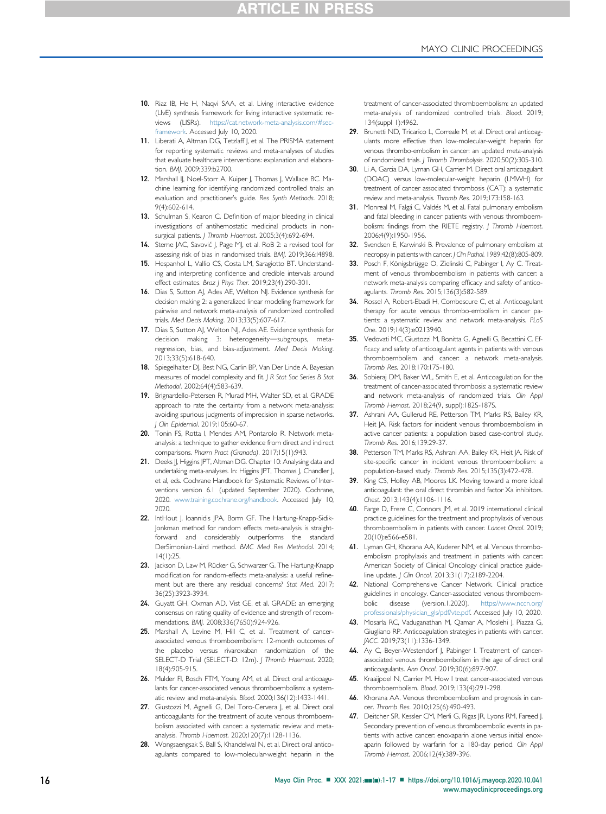- <span id="page-15-0"></span>10. Riaz IB, He H, Naqvi SAA, et al. Living interactive evidence (LIvE) synthesis framework for living interactive systematic reviews (LISRs). [https://cat.network-meta-analysis.com/#sec](https://cat.network-meta-analysis.com/#sec-framework)[framework.](https://cat.network-meta-analysis.com/#sec-framework) Accessed July 10, 2020.
- <span id="page-15-1"></span>11. Liberati A, Altman DG, Tetzlaff J, et al. The PRISMA statement for reporting systematic reviews and meta-analyses of studies that evaluate healthcare interventions: explanation and elaboration. BMJ. 2009;339:b2700.
- <span id="page-15-2"></span>12. Marshall IJ, Noel-Storr A, Kuiper J, Thomas J, Wallace BC. Machine learning for identifying randomized controlled trials: an evaluation and practitioner's guide. Res Synth Methods. 2018; 9(4):602-614.
- <span id="page-15-3"></span>13. Schulman S, Kearon C. Definition of major bleeding in clinical investigations of antihemostatic medicinal products in nonsurgical patients. J Thromb Haemost. 2005;3(4):692-694.
- <span id="page-15-4"></span>14. Sterne JAC, Savović J, Page MJ, et al. RoB 2: a revised tool for assessing risk of bias in randomised trials. BMJ. 2019;366:l4898.
- <span id="page-15-5"></span>15. Hespanhol L, Vallio CS, Costa LM, Saragiotto BT. Understanding and interpreting confidence and credible intervals around effect estimates. Braz | Phys Ther. 2019;23(4):290-301.
- <span id="page-15-6"></span>16. Dias S, Sutton AJ, Ades AE, Welton NJ. Evidence synthesis for decision making 2: a generalized linear modeling framework for pairwise and network meta-analysis of randomized controlled trials. Med Decis Making. 2013;33(5):607-617.
- 17. Dias S, Sutton AJ, Welton NJ, Ades AE. Evidence synthesis for decision making 3: heterogeneity-subgroups, metaregression, bias, and bias-adjustment. Med Decis Making. 2013;33(5):618-640.
- 18. Spiegelhalter DJ, Best NG, Carlin BP, Van Der Linde A. Bayesian measures of model complexity and fit. J R Stat Soc Series B Stat Methodol. 2002;64(4):583-639.
- <span id="page-15-7"></span>19. Brignardello-Petersen R, Murad MH, Walter SD, et al. GRADE approach to rate the certainty from a network meta-analysis: avoiding spurious judgments of imprecision in sparse networks. J Clin Epidemiol. 2019;105:60-67.
- <span id="page-15-8"></span>20. Tonin FS, Rotta I, Mendes AM, Pontarolo R. Network metaanalysis: a technique to gather evidence from direct and indirect comparisons. Pharm Pract (Granada). 2017;15(1):943.
- <span id="page-15-9"></span>21. Deeks JJ, Higgins JPT, Altman DG. Chapter 10: Analysing data and undertaking meta-analyses. In: Higgins JPT, Thomas J, Chandler J, et al, eds. Cochrane Handbook for Systematic Reviews of Interventions version 6.1 (updated September 2020). Cochrane, 2020. [www.training.cochrane.org/handbook.](http://www.training.cochrane.org/handbook) Accessed July 10, 2020.
- <span id="page-15-10"></span>22. IntHout J, Ioannidis JPA, Borm GF. The Hartung-Knapp-Sidik-Jonkman method for random effects meta-analysis is straightforward and considerably outperforms the standard DerSimonian-Laird method. BMC Med Res Methodol. 2014; 14(1):25.
- <span id="page-15-11"></span>23. Jackson D, Law M, Rücker G, Schwarzer G. The Hartung-Knapp modification for random-effects meta-analysis: a useful refinement but are there any residual concerns? Stat Med. 2017; 36(25):3923-3934.
- <span id="page-15-12"></span>24. Guyatt GH, Oxman AD, Vist GE, et al. GRADE: an emerging consensus on rating quality of evidence and strength of recommendations. BMJ. 2008;336(7650):924-926.
- <span id="page-15-13"></span>25. Marshall A, Levine M, Hill C, et al. Treatment of cancerassociated venous thromboembolism: 12-month outcomes of the placebo versus rivaroxaban randomization of the SELECT-D Trial (SELECT-D: 12m). / Thromb Haemost. 2020; 18(4):905-915.
- <span id="page-15-14"></span>26. Mulder FI, Bosch FTM, Young AM, et al. Direct oral anticoagulants for cancer-associated venous thromboembolism: a systematic review and meta-analysis. Blood. 2020;136(12):1433-1441.
- <span id="page-15-28"></span>27. Giustozzi M, Agnelli G, Del Toro-Cervera J, et al. Direct oral anticoagulants for the treatment of acute venous thromboembolism associated with cancer: a systematic review and metaanalysis. Thromb Haemost. 2020;120(7):1128-1136.
- <span id="page-15-17"></span>28. Wongsaengsak S, Ball S, Khandelwal N, et al. Direct oral anticoagulants compared to low-molecular-weight heparin in the

treatment of cancer-associated thromboembolism: an updated meta-analysis of randomized controlled trials. Blood. 2019; 134(suppl 1):4962.

- <span id="page-15-25"></span>29. Brunetti ND, Tricarico L, Correale M, et al. Direct oral anticoagulants more effective than low-molecular-weight heparin for venous thrombo-embolism in cancer: an updated meta-analysis of randomized trials. J Thromb Thrombolysis. 2020;50(2):305-310.
- <span id="page-15-26"></span>30. Li A, Garcia DA, Lyman GH, Carrier M. Direct oral anticoagulant (DOAC) versus low-molecular-weight heparin (LMWH) for treatment of cancer associated thrombosis (CAT): a systematic review and meta-analysis. Thromb Res. 2019;173:158-163.
- <span id="page-15-15"></span>31. Monreal M, Falgá C, Valdés M, et al. Fatal pulmonary embolism and fatal bleeding in cancer patients with venous thromboembolism: findings from the RIETE registry. J Thromb Haemost. 2006;4(9):1950-1956.
- <span id="page-15-16"></span>32. Svendsen E, Karwinski B, Prevalence of pulmonary embolism at necropsy in patients with cancer. J Clin Pathol. 1989;42(8):805-809.
- <span id="page-15-18"></span>33. Posch F, Königsbrügge O, Zielinski C, Pabinger I, Ay C. Treatment of venous thromboembolism in patients with cancer: a network meta-analysis comparing efficacy and safety of anticoagulants. Thromb Res. 2015;136(3):582-589.
- 34. Rossel A, Robert-Ebadi H, Combescure C, et al. Anticoagulant therapy for acute venous thrombo-embolism in cancer patients: a systematic review and network meta-analysis. PLoS One. 2019;14(3):e0213940.
- 35. Vedovati MC, Giustozzi M, Bonitta G, Agnelli G, Becattini C. Efficacy and safety of anticoagulant agents in patients with venous thromboembolism and cancer: a network meta-analysis. Thromb Res. 2018;170:175-180.
- 36. Sobieraj DM, Baker WL, Smith E, et al. Anticoagulation for the treatment of cancer-associated thrombosis: a systematic review and network meta-analysis of randomized trials. Clin Appl Thromb Hemost. 2018;24(9, suppl):182S-187S.
- <span id="page-15-19"></span>37. Ashrani AA, Gullerud RE, Petterson TM, Marks RS, Bailey KR, Heit JA. Risk factors for incident venous thromboembolism in active cancer patients: a population based case-control study. Thromb Res. 2016;139:29-37.
- <span id="page-15-20"></span>38. Petterson TM, Marks RS, Ashrani AA, Bailey KR, Heit JA. Risk of site-specific cancer in incident venous thromboembolism: a population-based study. Thromb Res. 2015;135(3):472-478.
- <span id="page-15-21"></span>39. King CS, Holley AB, Moores LK. Moving toward a more ideal anticoagulant: the oral direct thrombin and factor Xa inhibitors. Chest. 2013;143(4):1106-1116.
- <span id="page-15-22"></span>40. Farge D, Frere C, Connors JM, et al. 2019 international clinical practice guidelines for the treatment and prophylaxis of venous thromboembolism in patients with cancer. Lancet Oncol. 2019; 20(10):e566-e581.
- 41. Lyman GH, Khorana AA, Kuderer NM, et al. Venous thromboembolism prophylaxis and treatment in patients with cancer: American Society of Clinical Oncology clinical practice guideline update. J Clin Oncol. 2013;31(17):2189-2204.
- 42. National Comprehensive Cancer Network. Clinical practice guidelines in oncology. Cancer-associated venous thromboembolic disease (version.1.2020). [https://www.nccn.org/](https://www.nccn.org/professionals/physician_gls/pdf/vte.pdf) [professionals/physician\\_gls/pdf/vte.pdf](https://www.nccn.org/professionals/physician_gls/pdf/vte.pdf). Accessed July 10, 2020.
- <span id="page-15-23"></span>43. Mosarla RC, Vaduganathan M, Qamar A, Moslehi J, Piazza G, Giugliano RP. Anticoagulation strategies in patients with cancer. JACC. 2019;73(11):1336-1349.
- 44. Ay C, Beyer-Westendorf J, Pabinger I. Treatment of cancerassociated venous thromboembolism in the age of direct oral anticoagulants. Ann Oncol. 2019;30(6):897-907.
- 45. Kraaijpoel N, Carrier M. How I treat cancer-associated venous thromboembolism. Blood. 2019;133(4):291-298.
- <span id="page-15-24"></span>46. Khorana AA. Venous thromboembolism and prognosis in cancer. Thromb Res. 2010;125(6):490-493.
- <span id="page-15-27"></span>47. Deitcher SR, Kessler CM, Merli G, Rigas JR, Lyons RM, Fareed J. Secondary prevention of venous thromboembolic events in patients with active cancer: enoxaparin alone versus initial enoxaparin followed by warfarin for a 180-day period. Clin Appl Thromb Hemost. 2006;12(4):389-396.